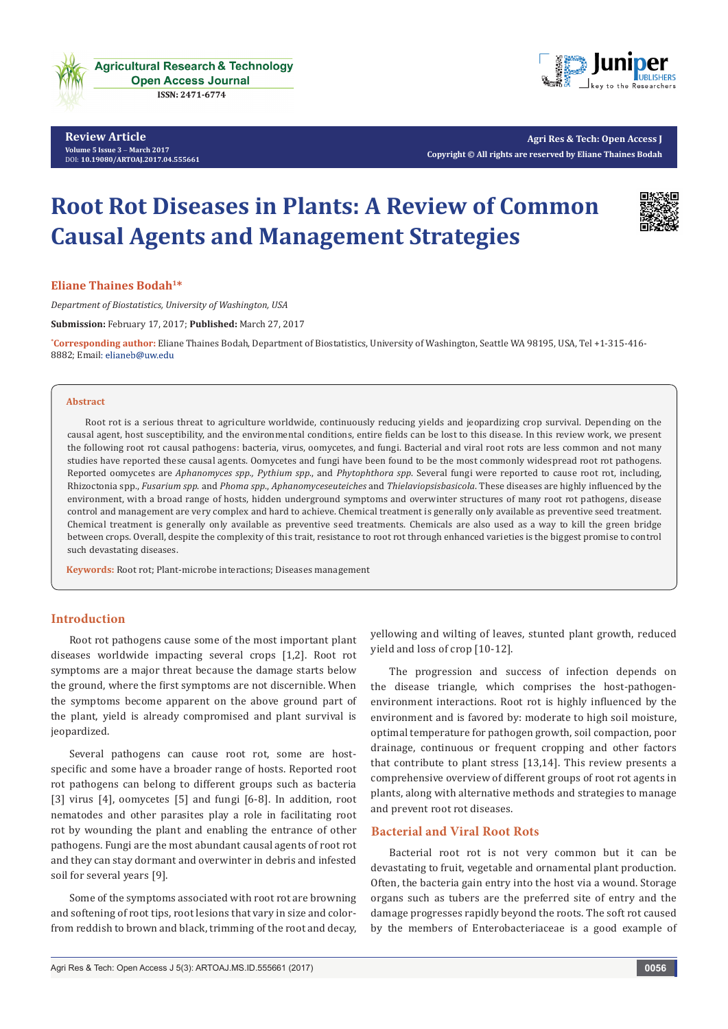

**Review Article Volume 5 Issue 3** - **March 2017** DOI: **[10.19080/ARTOAJ.2017.04.555661](http://dx.doi.org/10.19080/artoaj.2017.04.555661
)**



**Agri Res & Tech: Open Access J Copyright © All rights are reserved by Eliane Thaines Bodah**

# **Root Rot Diseases in Plants: A Review of Common Causal Agents and Management Strategies**



**Eliane Thaines Bodah1\***

*Department of Biostatistics, University of Washington, USA* **Submission:** February 17, 2017; **Published:** March 27, 2017

**\* Corresponding author:** Eliane Thaines Bodah, Department of Biostatistics, University of Washington, Seattle WA 98195, USA, Tel +1-315-416- 8882; Email: elianeb@uw.edu

#### **Abstract**

Root rot is a serious threat to agriculture worldwide, continuously reducing yields and jeopardizing crop survival. Depending on the causal agent, host susceptibility, and the environmental conditions, entire fields can be lost to this disease. In this review work, we present the following root rot causal pathogens: bacteria, virus, oomycetes, and fungi. Bacterial and viral root rots are less common and not many studies have reported these causal agents. Oomycetes and fungi have been found to be the most commonly widespread root rot pathogens. Reported oomycetes are *Aphanomyces spp., Pythium spp*., and *Phytophthora spp*. Several fungi were reported to cause root rot, including, Rhizoctonia spp., *Fusarium spp*. and *Phoma spp*., *Aphanomyceseuteiches* and *Thielaviopsisbasicola*. These diseases are highly influenced by the environment, with a broad range of hosts, hidden underground symptoms and overwinter structures of many root rot pathogens, disease control and management are very complex and hard to achieve. Chemical treatment is generally only available as preventive seed treatment. Chemical treatment is generally only available as preventive seed treatments. Chemicals are also used as a way to kill the green bridge between crops. Overall, despite the complexity of this trait, resistance to root rot through enhanced varieties is the biggest promise to control such devastating diseases.

**Keywords:** Root rot; Plant-microbe interactions; Diseases management

# **Introduction**

Root rot pathogens cause some of the most important plant diseases worldwide impacting several crops [1,2]. Root rot symptoms are a major threat because the damage starts below the ground, where the first symptoms are not discernible. When the symptoms become apparent on the above ground part of the plant, yield is already compromised and plant survival is jeopardized.

Several pathogens can cause root rot, some are hostspecific and some have a broader range of hosts. Reported root rot pathogens can belong to different groups such as bacteria [3] virus [4], oomycetes [5] and fungi [6-8]. In addition, root nematodes and other parasites play a role in facilitating root rot by wounding the plant and enabling the entrance of other pathogens. Fungi are the most abundant causal agents of root rot and they can stay dormant and overwinter in debris and infested soil for several years [9].

Some of the symptoms associated with root rot are browning and softening of root tips, root lesions that vary in size and colorfrom reddish to brown and black, trimming of the root and decay,

yellowing and wilting of leaves, stunted plant growth, reduced yield and loss of crop [10-12].

The progression and success of infection depends on the disease triangle, which comprises the host-pathogenenvironment interactions. Root rot is highly influenced by the environment and is favored by: moderate to high soil moisture, optimal temperature for pathogen growth, soil compaction, poor drainage, continuous or frequent cropping and other factors that contribute to plant stress [13,14]. This review presents a comprehensive overview of different groups of root rot agents in plants, along with alternative methods and strategies to manage and prevent root rot diseases.

### **Bacterial and Viral Root Rots**

Bacterial root rot is not very common but it can be devastating to fruit, vegetable and ornamental plant production. Often, the bacteria gain entry into the host via a wound. Storage organs such as tubers are the preferred site of entry and the damage progresses rapidly beyond the roots. The soft rot caused by the members of Enterobacteriaceae is a good example of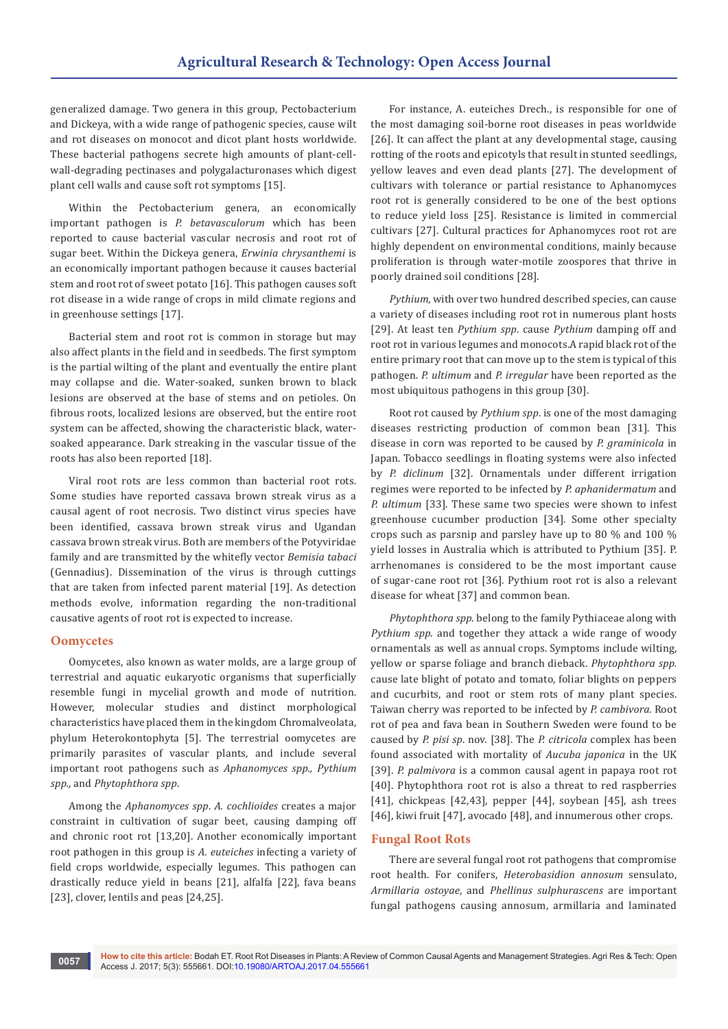generalized damage. Two genera in this group, Pectobacterium and Dickeya, with a wide range of pathogenic species, cause wilt and rot diseases on monocot and dicot plant hosts worldwide. These bacterial pathogens secrete high amounts of plant-cellwall-degrading pectinases and polygalacturonases which digest plant cell walls and cause soft rot symptoms [15].

Within the Pectobacterium genera, an economically important pathogen is *P. betavasculorum* which has been reported to cause bacterial vascular necrosis and root rot of sugar beet. Within the Dickeya genera, *Erwinia chrysanthemi* is an economically important pathogen because it causes bacterial stem and root rot of sweet potato [16]. This pathogen causes soft rot disease in a wide range of crops in mild climate regions and in greenhouse settings [17].

Bacterial stem and root rot is common in storage but may also affect plants in the field and in seedbeds. The first symptom is the partial wilting of the plant and eventually the entire plant may collapse and die. Water-soaked, sunken brown to black lesions are observed at the base of stems and on petioles. On fibrous roots, localized lesions are observed, but the entire root system can be affected, showing the characteristic black, watersoaked appearance. Dark streaking in the vascular tissue of the roots has also been reported [18].

Viral root rots are less common than bacterial root rots. Some studies have reported cassava brown streak virus as a causal agent of root necrosis. Two distinct virus species have been identified, cassava brown streak virus and Ugandan cassava brown streak virus. Both are members of the Potyviridae family and are transmitted by the whitefly vector *Bemisia tabaci*  (Gennadius). Dissemination of the virus is through cuttings that are taken from infected parent material [19]. As detection methods evolve, information regarding the non-traditional causative agents of root rot is expected to increase.

#### **Oomycetes**

Oomycetes, also known as water molds, are a large group of terrestrial and aquatic eukaryotic organisms that superficially resemble fungi in mycelial growth and mode of nutrition. However, molecular studies and distinct morphological characteristics have placed them in the kingdom Chromalveolata, phylum Heterokontophyta [5]. The terrestrial oomycetes are primarily parasites of vascular plants, and include several important root pathogens such as *Aphanomyces spp., Pythium spp.,* and *Phytophthora spp*.

Among the *Aphanomyces spp*. *A. cochlioides* creates a major constraint in cultivation of sugar beet, causing damping off and chronic root rot [13,20]. Another economically important root pathogen in this group is *A. euteiches* infecting a variety of field crops worldwide, especially legumes. This pathogen can drastically reduce yield in beans [21], alfalfa [22], fava beans [23], clover, lentils and peas [24,25].

For instance, A. euteiches Drech., is responsible for one of the most damaging soil-borne root diseases in peas worldwide [26]. It can affect the plant at any developmental stage, causing rotting of the roots and epicotyls that result in stunted seedlings, yellow leaves and even dead plants [27]. The development of cultivars with tolerance or partial resistance to Aphanomyces root rot is generally considered to be one of the best options to reduce yield loss [25]. Resistance is limited in commercial cultivars [27]. Cultural practices for Aphanomyces root rot are highly dependent on environmental conditions, mainly because proliferation is through water-motile zoospores that thrive in poorly drained soil conditions [28].

*Pythium,* with over two hundred described species, can cause a variety of diseases including root rot in numerous plant hosts [29]. At least ten *Pythium spp*. cause *Pythium* damping off and root rot in various legumes and monocots.A rapid black rot of the entire primary root that can move up to the stem is typical of this pathogen. *P. ultimum* and *P. irregular* have been reported as the most ubiquitous pathogens in this group [30].

Root rot caused by *Pythium spp*. is one of the most damaging diseases restricting production of common bean [31]. This disease in corn was reported to be caused by *P. graminicola* in Japan. Tobacco seedlings in floating systems were also infected by *P. diclinum* [32]. Ornamentals under different irrigation regimes were reported to be infected by *P. aphanidermatum* and *P. ultimum* [33]. These same two species were shown to infest greenhouse cucumber production [34]. Some other specialty crops such as parsnip and parsley have up to 80 % and 100 % yield losses in Australia which is attributed to Pythium [35]. P. arrhenomanes is considered to be the most important cause of sugar-cane root rot [36]. Pythium root rot is also a relevant disease for wheat [37] and common bean.

*Phytophthora spp*. belong to the family Pythiaceae along with *Pythium spp*. and together they attack a wide range of woody ornamentals as well as annual crops. Symptoms include wilting, yellow or sparse foliage and branch dieback. *Phytophthora spp.* cause late blight of potato and tomato, foliar blights on peppers and cucurbits, and root or stem rots of many plant species. Taiwan cherry was reported to be infected by *P. cambivora*. Root rot of pea and fava bean in Southern Sweden were found to be caused by *P. pisi sp*. nov. [38]. The *P. citricola* complex has been found associated with mortality of *Aucuba japonica* in the UK [39]. *P. palmivora* is a common causal agent in papaya root rot [40]. Phytophthora root rot is also a threat to red raspberries [41], chickpeas [42,43], pepper [44], soybean [45], ash trees [46], kiwi fruit [47], avocado [48], and innumerous other crops.

#### **Fungal Root Rots**

There are several fungal root rot pathogens that compromise root health. For conifers, *Heterobasidion annosum* sensulato, *Armillaria ostoyae*, and *Phellinus sulphurascens* are important fungal pathogens causing annosum, armillaria and laminated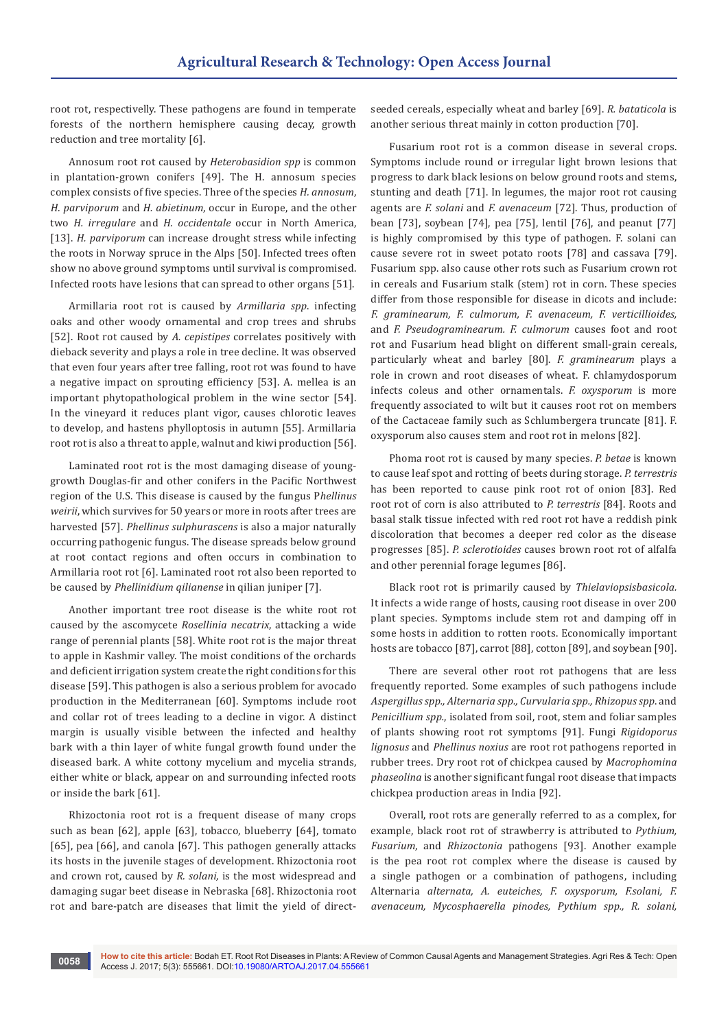root rot, respectivelly. These pathogens are found in temperate forests of the northern hemisphere causing decay, growth reduction and tree mortality [6].

Annosum root rot caused by *Heterobasidion spp* is common in plantation-grown conifers [49]. The H. annosum species complex consists of five species. Three of the species *H. annosum*, *H. parviporum* and *H. abietinum*, occur in Europe, and the other two *H. irregulare* and *H. occidentale* occur in North America, [13]. *H. parviporum* can increase drought stress while infecting the roots in Norway spruce in the Alps [50]. Infected trees often show no above ground symptoms until survival is compromised. Infected roots have lesions that can spread to other organs [51].

Armillaria root rot is caused by *Armillaria spp*. infecting oaks and other woody ornamental and crop trees and shrubs [52]. Root rot caused by *A. cepistipes* correlates positively with dieback severity and plays a role in tree decline. It was observed that even four years after tree falling, root rot was found to have a negative impact on sprouting efficiency [53]. A. mellea is an important phytopathological problem in the wine sector [54]. In the vineyard it reduces plant vigor, causes chlorotic leaves to develop, and hastens phylloptosis in autumn [55]. Armillaria root rot is also a threat to apple, walnut and kiwi production [56].

Laminated root rot is the most damaging disease of younggrowth Douglas-fir and other conifers in the Pacific Northwest region of the U.S. This disease is caused by the fungus P*hellinus weirii*, which survives for 50 years or more in roots after trees are harvested [57]. *Phellinus sulphurascens* is also a major naturally occurring pathogenic fungus. The disease spreads below ground at root contact regions and often occurs in combination to Armillaria root rot [6]. Laminated root rot also been reported to be caused by *Phellinidium qilianense* in qilian juniper [7].

Another important tree root disease is the white root rot caused by the ascomycete *Rosellinia necatrix*, attacking a wide range of perennial plants [58]. White root rot is the major threat to apple in Kashmir valley. The moist conditions of the orchards and deficient irrigation system create the right conditions for this disease [59]. This pathogen is also a serious problem for avocado production in the Mediterranean [60]. Symptoms include root and collar rot of trees leading to a decline in vigor. A distinct margin is usually visible between the infected and healthy bark with a thin layer of white fungal growth found under the diseased bark. A white cottony mycelium and mycelia strands, either white or black, appear on and surrounding infected roots or inside the bark [61].

Rhizoctonia root rot is a frequent disease of many crops such as bean [62], apple [63], tobacco, blueberry [64], tomato [65], pea [66], and canola [67]. This pathogen generally attacks its hosts in the juvenile stages of development. Rhizoctonia root and crown rot, caused by *R. solani,* is the most widespread and damaging sugar beet disease in Nebraska [68]. Rhizoctonia root rot and bare-patch are diseases that limit the yield of directseeded cereals, especially wheat and barley [69]. *R. bataticola* is another serious threat mainly in cotton production [70].

Fusarium root rot is a common disease in several crops. Symptoms include round or irregular light brown lesions that progress to dark black lesions on below ground roots and stems, stunting and death [71]. In legumes, the major root rot causing agents are *F. solani* and *F. avenaceum* [72]. Thus, production of bean [73], soybean [74], pea [75], lentil [76], and peanut [77] is highly compromised by this type of pathogen. F. solani can cause severe rot in sweet potato roots [78] and cassava [79]. Fusarium spp. also cause other rots such as Fusarium crown rot in cereals and Fusarium stalk (stem) rot in corn. These species differ from those responsible for disease in dicots and include: *F. graminearum, F. culmorum, F. avenaceum, F. verticillioides,* and *F. Pseudograminearum. F. culmorum* causes foot and root rot and Fusarium head blight on different small-grain cereals, particularly wheat and barley [80]. *F. graminearum* plays a role in crown and root diseases of wheat. F. chlamydosporum infects coleus and other ornamentals. *F. oxysporum* is more frequently associated to wilt but it causes root rot on members of the Cactaceae family such as Schlumbergera truncate [81]. F. oxysporum also causes stem and root rot in melons [82].

Phoma root rot is caused by many species. *P. betae* is known to cause leaf spot and rotting of beets during storage. *P. terrestris*  has been reported to cause pink root rot of onion [83]. Red root rot of corn is also attributed to *P. terrestris* [84]. Roots and basal stalk tissue infected with red root rot have a reddish pink discoloration that becomes a deeper red color as the disease progresses [85]. *P. sclerotioides* causes brown root rot of alfalfa and other perennial forage legumes [86].

Black root rot is primarily caused by *Thielaviopsisbasicola.*  It infects a wide range of hosts, causing root disease in over 200 plant species. Symptoms include stem rot and damping off in some hosts in addition to rotten roots. Economically important hosts are tobacco [87], carrot [88], cotton [89], and soybean [90].

There are several other root rot pathogens that are less frequently reported. Some examples of such pathogens include *Aspergillus spp., Alternaria spp., Curvularia spp., Rhizopus spp*. and *Penicillium spp.*, isolated from soil, root, stem and foliar samples of plants showing root rot symptoms [91]. Fungi *Rigidoporus lignosus* and *Phellinus noxius* are root rot pathogens reported in rubber trees. Dry root rot of chickpea caused by *Macrophomina phaseolina* is another significant fungal root disease that impacts chickpea production areas in India [92].

Overall, root rots are generally referred to as a complex, for example, black root rot of strawberry is attributed to *Pythium, Fusarium*, and *Rhizoctonia* pathogens [93]. Another example is the pea root rot complex where the disease is caused by a single pathogen or a combination of pathogens, including Alternaria *alternata, A. euteiches, F. oxysporum, F.solani, F. avenaceum, Mycosphaerella pinodes, Pythium spp., R. solani,*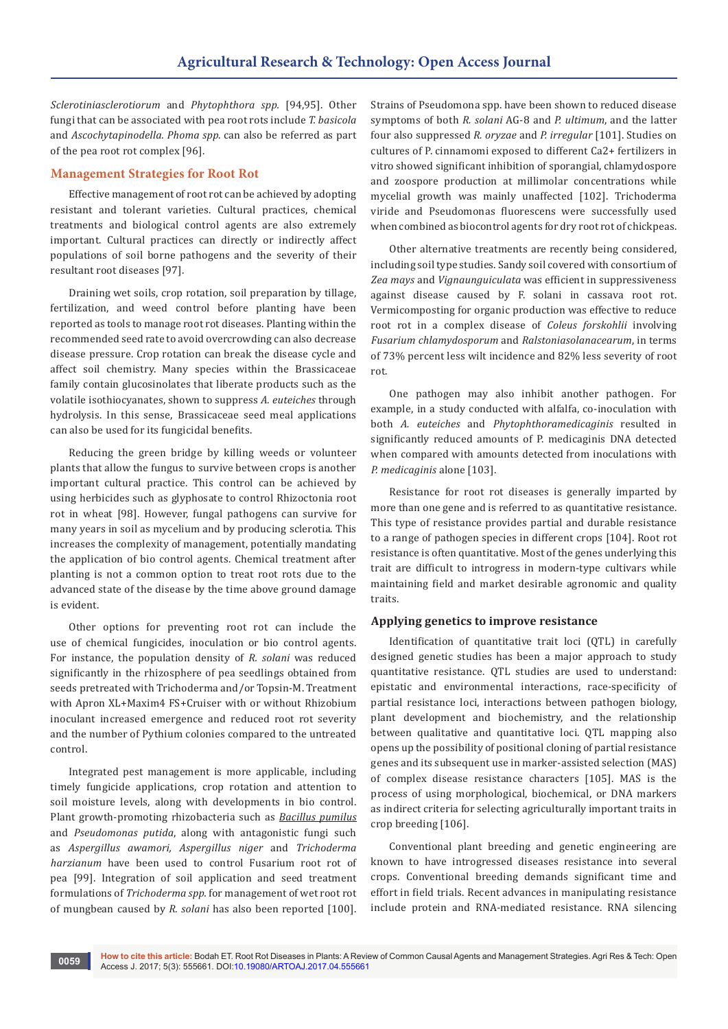*Sclerotiniasclerotiorum* and *Phytophthora spp.* [94,95]. Other fungi that can be associated with pea root rots include *T. basicola* and *Ascochytapinodella. Phoma spp*. can also be referred as part of the pea root rot complex [96].

### **Management Strategies for Root Rot**

Effective management of root rot can be achieved by adopting resistant and tolerant varieties. Cultural practices, chemical treatments and biological control agents are also extremely important. Cultural practices can directly or indirectly affect populations of soil borne pathogens and the severity of their resultant root diseases [97].

Draining wet soils, crop rotation, soil preparation by tillage, fertilization, and weed control before planting have been reported as tools to manage root rot diseases. Planting within the recommended seed rate to avoid overcrowding can also decrease disease pressure. Crop rotation can break the disease cycle and affect soil chemistry. Many species within the Brassicaceae family contain glucosinolates that liberate products such as the volatile isothiocyanates, shown to suppress *A. euteiches* through hydrolysis. In this sense, Brassicaceae seed meal applications can also be used for its fungicidal benefits.

Reducing the green bridge by killing weeds or volunteer plants that allow the fungus to survive between crops is another important cultural practice. This control can be achieved by using herbicides such as glyphosate to control Rhizoctonia root rot in wheat [98]. However, fungal pathogens can survive for many years in soil as mycelium and by producing sclerotia. This increases the complexity of management, potentially mandating the application of bio control agents. Chemical treatment after planting is not a common option to treat root rots due to the advanced state of the disease by the time above ground damage is evident.

Other options for preventing root rot can include the use of chemical fungicides, inoculation or bio control agents. For instance, the population density of *R. solani* was reduced significantly in the rhizosphere of pea seedlings obtained from seeds pretreated with Trichoderma and/or Topsin-M. Treatment with Apron XL+Maxim4 FS+Cruiser with or without Rhizobium inoculant increased emergence and reduced root rot severity and the number of Pythium colonies compared to the untreated control.

Integrated pest management is more applicable, including timely fungicide applications, crop rotation and attention to soil moisture levels, along with developments in bio control. Plant growth-promoting rhizobacteria such as *Bacillus pumilus* and *Pseudomonas putida*, along with antagonistic fungi such as *Aspergillus awamori, Aspergillus niger* and *Trichoderma harzianum* have been used to control Fusarium root rot of pea [99]. Integration of soil application and seed treatment formulations of *Trichoderma spp.* for management of wet root rot of mungbean caused by *R. solani* has also been reported [100].

Strains of Pseudomona spp. have been shown to reduced disease symptoms of both *R. solani* AG-8 and *P. ultimum*, and the latter four also suppressed *R. oryzae* and *P. irregular* [101]. Studies on cultures of P. cinnamomi exposed to different Ca2+ fertilizers in vitro showed significant inhibition of sporangial, chlamydospore and zoospore production at millimolar concentrations while mycelial growth was mainly unaffected [102]. Trichoderma viride and Pseudomonas fluorescens were successfully used when combined as biocontrol agents for dry root rot of chickpeas.

Other alternative treatments are recently being considered, including soil type studies. Sandy soil covered with consortium of *Zea mays* and *Vignaunguiculata* was efficient in suppressiveness against disease caused by F. solani in cassava root rot. Vermicomposting for organic production was effective to reduce root rot in a complex disease of *Coleus forskohlii* involving *Fusarium chlamydosporum* and *Ralstoniasolanacearum*, in terms of 73% percent less wilt incidence and 82% less severity of root rot.

One pathogen may also inhibit another pathogen. For example, in a study conducted with alfalfa, co-inoculation with both *A. euteiches* and *Phytophthoramedicaginis* resulted in significantly reduced amounts of P. medicaginis DNA detected when compared with amounts detected from inoculations with *P. medicaginis* alone [103].

Resistance for root rot diseases is generally imparted by more than one gene and is referred to as quantitative resistance. This type of resistance provides partial and durable resistance to a range of pathogen species in different crops [104]. Root rot resistance is often quantitative. Most of the genes underlying this trait are difficult to introgress in modern-type cultivars while maintaining field and market desirable agronomic and quality traits.

#### **Applying genetics to improve resistance**

Identification of quantitative trait loci (QTL) in carefully designed genetic studies has been a major approach to study quantitative resistance. QTL studies are used to understand: epistatic and environmental interactions, race-specificity of partial resistance loci, interactions between pathogen biology, plant development and biochemistry, and the relationship between qualitative and quantitative loci. QTL mapping also opens up the possibility of positional cloning of partial resistance genes and its subsequent use in marker-assisted selection (MAS) of complex disease resistance characters [105]. MAS is the process of using morphological, biochemical, or DNA markers as indirect criteria for selecting agriculturally important traits in crop breeding [106].

Conventional plant breeding and genetic engineering are known to have introgressed diseases resistance into several crops. Conventional breeding demands significant time and effort in field trials. Recent advances in manipulating resistance include protein and RNA-mediated resistance. RNA silencing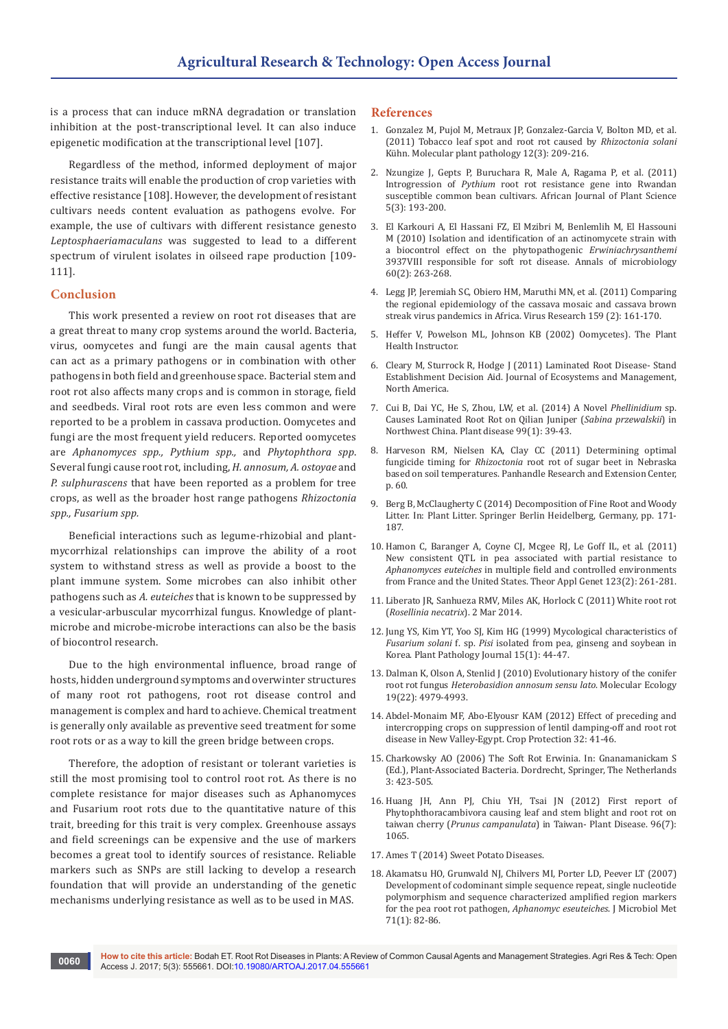is a process that can induce mRNA degradation or translation inhibition at the post-transcriptional level. It can also induce epigenetic modification at the transcriptional level [107].

Regardless of the method, informed deployment of major resistance traits will enable the production of crop varieties with effective resistance [108]. However, the development of resistant cultivars needs content evaluation as pathogens evolve. For example, the use of cultivars with different resistance genesto *Leptosphaeriamaculans* was suggested to lead to a different spectrum of virulent isolates in oilseed rape production [109- 111].

#### **Conclusion**

This work presented a review on root rot diseases that are a great threat to many crop systems around the world. Bacteria, virus, oomycetes and fungi are the main causal agents that can act as a primary pathogens or in combination with other pathogens in both field and greenhouse space. Bacterial stem and root rot also affects many crops and is common in storage, field and seedbeds. Viral root rots are even less common and were reported to be a problem in cassava production. Oomycetes and fungi are the most frequent yield reducers. Reported oomycetes are *Aphanomyces spp., Pythium spp.,* and *Phytophthora spp*. Several fungi cause root rot, including, *H. annosum, A. ostoyae* and *P. sulphurascens* that have been reported as a problem for tree crops, as well as the broader host range pathogens *Rhizoctonia spp., Fusarium spp.*

Beneficial interactions such as legume-rhizobial and plantmycorrhizal relationships can improve the ability of a root system to withstand stress as well as provide a boost to the plant immune system. Some microbes can also inhibit other pathogens such as *A. euteiches* that is known to be suppressed by a vesicular-arbuscular mycorrhizal fungus. Knowledge of plantmicrobe and microbe-microbe interactions can also be the basis of biocontrol research.

Due to the high environmental influence, broad range of hosts, hidden underground symptoms and overwinter structures of many root rot pathogens, root rot disease control and management is complex and hard to achieve. Chemical treatment is generally only available as preventive seed treatment for some root rots or as a way to kill the green bridge between crops.

Therefore, the adoption of resistant or tolerant varieties is still the most promising tool to control root rot. As there is no complete resistance for major diseases such as Aphanomyces and Fusarium root rots due to the quantitative nature of this trait, breeding for this trait is very complex. Greenhouse assays and field screenings can be expensive and the use of markers becomes a great tool to identify sources of resistance. Reliable markers such as SNPs are still lacking to develop a research foundation that will provide an understanding of the genetic mechanisms underlying resistance as well as to be used in MAS.

#### **References**

- 1. [Gonzalez M, Pujol M, Metraux JP, Gonzalez-Garcia V, Bolton MD, et al.](https://www.ncbi.nlm.nih.gov/pubmed/21355993)  [\(2011\) Tobacco leaf spot and root rot caused by](https://www.ncbi.nlm.nih.gov/pubmed/21355993) *Rhizoctonia solani*  [Kühn. Molecular plant pathology 12\(3\): 209-216.](https://www.ncbi.nlm.nih.gov/pubmed/21355993)
- 2. [Nzungize J, Gepts P, Buruchara R, Male A, Ragama P, et al. \(2011\)](http://www.plantsciences.ucdavis.edu/gepts/Nzungize%20et%20al.Pythium%20R%20introgr%20Rwanda.%202011.pdf)  Introgression of *Pythium* [root rot resistance gene into Rwandan](http://www.plantsciences.ucdavis.edu/gepts/Nzungize%20et%20al.Pythium%20R%20introgr%20Rwanda.%202011.pdf)  [susceptible common bean cultivars. African Journal of Plant Science](http://www.plantsciences.ucdavis.edu/gepts/Nzungize%20et%20al.Pythium%20R%20introgr%20Rwanda.%202011.pdf)  [5\(3\): 193-200.](http://www.plantsciences.ucdavis.edu/gepts/Nzungize%20et%20al.Pythium%20R%20introgr%20Rwanda.%202011.pdf)
- 3. El Karkouri A, El Hassani FZ, El Mzibri M, Benlemlih M, El Hassouni M (2010) Isolation and identification of an actinomycete strain with a biocontrol effect on the phytopathogenic *Erwiniachrysanthemi* 3937VIII responsible for soft rot disease. Annals of microbiology 60(2): 263-268.
- 4. [Legg JP, Jeremiah SC, Obiero HM, Maruthi MN, et al. \(2011\) Comparing](https://www.ncbi.nlm.nih.gov/pubmed/21549776)  [the regional epidemiology of the cassava mosaic and cassava brown](https://www.ncbi.nlm.nih.gov/pubmed/21549776)  [streak virus pandemics in Africa. Virus Research 159 \(2\): 161-170.](https://www.ncbi.nlm.nih.gov/pubmed/21549776)
- 5. Heffer V, Powelson ML, Johnson KB (2002) Oomycetes). The Plant Health Instructor.
- 6. Cleary M, Sturrock R, Hodge J (2011) Laminated Root Disease- Stand Establishment Decision Aid. Journal of Ecosystems and Management, North America.
- 7. [Cui B, Dai YC, He S, Zhou, LW, et al. \(2014\) A Novel](http://apsjournals.apsnet.org/doi/abs/10.1094/PDIS-03-14-0335-RE) *Phellinidium* sp. [Causes Laminated Root Rot on Qilian Juniper \(](http://apsjournals.apsnet.org/doi/abs/10.1094/PDIS-03-14-0335-RE)*Sabina przewalskii*) in [Northwest China. Plant disease 99\(1\): 39-43.](http://apsjournals.apsnet.org/doi/abs/10.1094/PDIS-03-14-0335-RE)
- 8. [Harveson RM, Nielsen KA, Clay CC \(2011\) Determining optimal](http://digitalcommons.unl.edu/cgi/viewcontent.cgi?article=1059&context=panhandleresext)  fungicide timing for *Rhizoctonia* [root rot of sugar beet in Nebraska](http://digitalcommons.unl.edu/cgi/viewcontent.cgi?article=1059&context=panhandleresext)  [based on soil temperatures. Panhandle Research and Extension Center,](http://digitalcommons.unl.edu/cgi/viewcontent.cgi?article=1059&context=panhandleresext)  [p. 60.](http://digitalcommons.unl.edu/cgi/viewcontent.cgi?article=1059&context=panhandleresext)
- 9. [Berg B, McClaugherty C \(2014\) Decomposition of Fine Root and Woody](http://link.springer.com/chapter/10.1007%2F978-3-642-38821-7_8)  [Litter. In: Plant Litter. Springer Berlin Heidelberg, Germany, pp. 171-](http://link.springer.com/chapter/10.1007%2F978-3-642-38821-7_8) [187.](http://link.springer.com/chapter/10.1007%2F978-3-642-38821-7_8)
- 10. [Hamon C, Baranger A, Coyne CJ, Mcgee RJ, Le Goff IL, et al. \(2011\)](https://www.ncbi.nlm.nih.gov/pubmed/21479935)  [New consistent QTL in pea associated with partial resistance to](https://www.ncbi.nlm.nih.gov/pubmed/21479935)  *Aphanomyces euteiches* [in multiple field and controlled environments](https://www.ncbi.nlm.nih.gov/pubmed/21479935)  [from France and the United States. Theor Appl Genet 123\(2\): 261-281.](https://www.ncbi.nlm.nih.gov/pubmed/21479935)
- 11. Liberato JR, Sanhueza RMV, Miles AK, Horlock C (2011) White root rot (*Rosellinia necatrix*). 2 Mar 2014.
- 12. [Jung YS, Kim YT, Yoo SJ, Kim HG \(1999\) Mycological characteristics of](https://eurekamag.com/research/003/208/003208891.php)  *Fusarium solani* f. sp. *Pisi* [isolated from pea, ginseng and soybean in](https://eurekamag.com/research/003/208/003208891.php)  [Korea. Plant Pathology Journal 15\(1\): 44-47.](https://eurekamag.com/research/003/208/003208891.php)
- 13. [Dalman K, Olson A, Stenlid J \(2010\) Evolutionary history of the conifer](http://onlinelibrary.wiley.com/doi/10.1111/j.1365-294X.2010.04873.x/abstract)  root rot fungus *[Heterobasidion annosum sensu](http://onlinelibrary.wiley.com/doi/10.1111/j.1365-294X.2010.04873.x/abstract) lato*. Molecular Ecology [19\(22\): 4979-4993.](http://onlinelibrary.wiley.com/doi/10.1111/j.1365-294X.2010.04873.x/abstract)
- 14. [Abdel-Monaim MF, Abo-Elyousr KAM \(2012\) Effect of preceding and](http://www.sciencedirect.com/science/article/pii/S0261219411003383)  [intercropping crops on suppression of lentil damping-off and root rot](http://www.sciencedirect.com/science/article/pii/S0261219411003383)  [disease in New Valley-Egypt. Crop Protection 32: 41-46.](http://www.sciencedirect.com/science/article/pii/S0261219411003383)
- 15. Charkowsky AO (2006) The Soft Rot Erwinia. In: Gnanamanickam S (Ed.), Plant-Associated Bacteria. Dordrecht, Springer, The Netherlands 3: 423-505.
- 16. Huang JH, Ann PJ, Chiu YH, Tsai JN (2012) First report of Phytophthoracambivora causing leaf and stem blight and root rot on taiwan cherry (*Prunus campanulata*) in Taiwan- Plant Disease. 96(7): 1065.
- 17. Ames T (2014) Sweet Potato Diseases.
- 18. [Akamatsu HO, Grunwald NJ, Chilvers MI, Porter LD, Peever LT \(2007\)](https://scholars.opb.msu.edu/en/publications/development-of-codominant-simple-sequence-repeat-single-nucleotid-4)  [Development of codominant simple sequence repeat, single nucleotide](https://scholars.opb.msu.edu/en/publications/development-of-codominant-simple-sequence-repeat-single-nucleotid-4)  [polymorphism and sequence characterized amplified region markers](https://scholars.opb.msu.edu/en/publications/development-of-codominant-simple-sequence-repeat-single-nucleotid-4)  [for the pea root rot pathogen,](https://scholars.opb.msu.edu/en/publications/development-of-codominant-simple-sequence-repeat-single-nucleotid-4) *Aphanomyc eseuteiches*. J Microbiol Met [71\(1\): 82-86.](https://scholars.opb.msu.edu/en/publications/development-of-codominant-simple-sequence-repeat-single-nucleotid-4)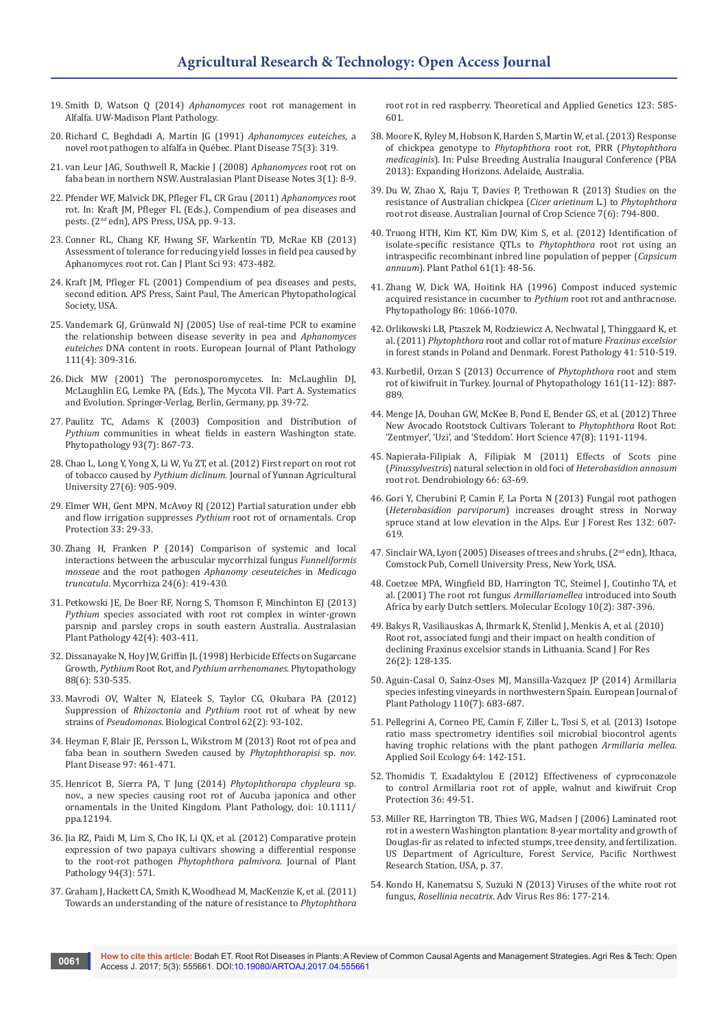- 19. [Smith D, Watson Q \(2014\)](https://extension.soils.wisc.edu/wcmc/aphanomyces-root-rot-management-in-alfalfa/) *Aphanomyces* root rot management in [Alfalfa. UW-Madison Plant Pathology.](https://extension.soils.wisc.edu/wcmc/aphanomyces-root-rot-management-in-alfalfa/)
- 20. Richard C, Beghdadi A, Martin JG (1991) *Aphanomyces euteiches*, a novel root pathogen to alfalfa in Québec. Plant Disease 75(3): 319.
- 21. [van Leur JAG, Southwell R, Mackie J \(2008\)](http://link.springer.com/article/10.1071/DN08004) *Aphanomyces* root rot on [faba bean in northern NSW. Australasian Plant Disease Notes 3\(1\): 8-9.](http://link.springer.com/article/10.1071/DN08004)
- 22. Pfender WF, Malvick DK, Pfleger FL, CR Grau (2011) *Aphanomyces* root rot. In: Kraft JM, Pfleger FL (Eds.), Compendium of pea diseases and pests. (2nd edn), APS Press, USA, pp. 9-13.
- 23. Conner RL, Chang KF, Hwang SF, Warkentin TD, McRae KB (2013) Assessment of tolerance for reducing yield losses in field pea caused by Aphanomyces root rot. Can J Plant Sci 93: 473-482.
- 24. [Kraft JM, Pfleger FL \(2001\) Compendium of pea diseases and pests,](http://www.apsnet.org/apsstore/shopapspress/Pages/42694.aspx)  [second edition. APS Press, Saint Paul, The American Phytopathological](http://www.apsnet.org/apsstore/shopapspress/Pages/42694.aspx)  [Society, USA.](http://www.apsnet.org/apsstore/shopapspress/Pages/42694.aspx)
- 25. [Vandemark GJ, Grünwald NJ \(2005\) Use of real-time PCR to examine](http://link.springer.com/article/10.1007/s10658-004-4170-0)  [the relationship between disease severity in pea and](http://link.springer.com/article/10.1007/s10658-004-4170-0) *Aphanomyces euteiches* [DNA content in roots. European Journal of Plant Pathology](http://link.springer.com/article/10.1007/s10658-004-4170-0)  [111\(4\): 309-316.](http://link.springer.com/article/10.1007/s10658-004-4170-0)
- 26. [Dick MW \(2001\) The peronosporomycetes. In: McLaughlin DJ,](http://link.springer.com/chapter/10.1007%2F978-3-662-10376-0_2)  [McLaughlin EG, Lemke PA, \(Eds.\), The Mycota VII. Part A. Systematics](http://link.springer.com/chapter/10.1007%2F978-3-662-10376-0_2)  [and Evolution. Springer-Verlag, Berlin, Germany, pp. 39-72.](http://link.springer.com/chapter/10.1007%2F978-3-662-10376-0_2)
- 27. [Paulitz TC, Adams K \(2003\) Composition and Distribution of](https://www.ncbi.nlm.nih.gov/pubmed/18943168)  *Pythium* [communities in wheat fields in eastern Washington state.](https://www.ncbi.nlm.nih.gov/pubmed/18943168)  [Phytopathology 93\(7\): 867-73.](https://www.ncbi.nlm.nih.gov/pubmed/18943168)
- 28. [Chao L, Long Y, Yong X, Li W, Yu ZT, et al. \(2012\) First report on root rot](http://xb.ynau.edu.cn/jwk_zk/EN/abstract/abstract10466.shtml)  of tobacco caused by *Pythium diclinum*[. Journal of Yunnan Agricultural](http://xb.ynau.edu.cn/jwk_zk/EN/abstract/abstract10466.shtml)  [University 27\(6\): 905-909.](http://xb.ynau.edu.cn/jwk_zk/EN/abstract/abstract10466.shtml)
- 29. Elmer WH, Gent MPN, McAvoy RJ (2012) Partial saturation under ebb and flow irrigation suppresses *Pythium* root rot of ornamentals. Crop Protection 33: 29-33.
- 30. [Zhang H, Franken P \(2014\) Comparison of systemic and local](http://link.springer.com/article/10.1007/s00572-013-0553-4)  [interactions between the arbuscular mycorrhizal fungus](http://link.springer.com/article/10.1007/s00572-013-0553-4) *Funneliformis mosseae* and the root pathogen *[Aphanomy ceseuteiches](http://link.springer.com/article/10.1007/s00572-013-0553-4)* in *Medicago truncatula*[. Mycorrhiza 24\(6\): 419-430.](http://link.springer.com/article/10.1007/s00572-013-0553-4)
- 31. [Petkowski JE, De Boer RF, Norng S, Thomson F, Minchinton EJ \(2013\)](http://link.springer.com/article/10.1007/s13313-013-0211-5)  *Pythium* [species associated with root rot complex in winter-grown](http://link.springer.com/article/10.1007/s13313-013-0211-5)  [parsnip and parsley crops in south eastern Australia. Australasian](http://link.springer.com/article/10.1007/s13313-013-0211-5)  [Plant Pathology 42\(4\): 403-411.](http://link.springer.com/article/10.1007/s13313-013-0211-5)
- 32. [Dissanayake N, Hoy JW, Griffin JL \(1998\) Herbicide Effects on Sugarcane](https://www.ncbi.nlm.nih.gov/pubmed/18944905)  Growth, *Pythium* Root Rot, and *[Pythium arrhenomanes](https://www.ncbi.nlm.nih.gov/pubmed/18944905)*. Phytopathology [88\(6\): 530-535.](https://www.ncbi.nlm.nih.gov/pubmed/18944905)
- 33. Mavrodi OV, Walter N, Elateek S, Taylor CG, Okubara PA (2012) Suppression of *Rhizoctonia* and *Pythium* root rot of wheat by new strains of *Pseudomonas*. Biological Control 62(2): 93-102.
- 34. [Heyman F, Blair JE, Persson L, Wikstrom M \(2013\) Root rot of pea and](http://apsjournals.apsnet.org/doi/pdf/10.1094/PDIS-09-12-0823-RE)  [faba bean in southern Sweden caused by](http://apsjournals.apsnet.org/doi/pdf/10.1094/PDIS-09-12-0823-RE) *Phytophthorapisi* sp. *nov*. [Plant Disease 97: 461-471.](http://apsjournals.apsnet.org/doi/pdf/10.1094/PDIS-09-12-0823-RE)
- 35. Henricot B, Sierra PA, T Jung (2014) *Phytophthorapa chypleura* sp. nov., a new species causing root rot of Aucuba japonica and other ornamentals in the United Kingdom. Plant Pathology, doi: 10.1111/ ppa.12194.
- 36. [Jia RZ, Paidi M, Lim S, Cho IK, Li QX, et al. \(2012\) Comparative protein](http://sipav.org/main/jpp/index.php/jpp/article/view/2639/1315)  [expression of two papaya cultivars showing a differential response](http://sipav.org/main/jpp/index.php/jpp/article/view/2639/1315)  to the root-rot pathogen *[Phytophthora palmivora](http://sipav.org/main/jpp/index.php/jpp/article/view/2639/1315)*. Journal of Plant [Pathology 94\(3\): 571.](http://sipav.org/main/jpp/index.php/jpp/article/view/2639/1315)
- 37. Graham J, Hackett CA, Smith K, Woodhead M, MacKenzie K, et al. (2011) Towards an understanding of the nature of resistance to *Phytophthora*

root rot in red raspberry. Theoretical and Applied Genetics 123: 585- 601.

- 38. [Moore K, Ryley M, Hobson K, Harden S, Martin W, et al. \(2013\) Response](https://eprints.usq.edu.au/25153/)  [of chickpea genotype to](https://eprints.usq.edu.au/25153/) *Phytophthora* root rot, PRR (*Phytophthora medicaginis*[\). In: Pulse Breeding Australia Inaugural Conference \(PBA](https://eprints.usq.edu.au/25153/)  [2013\): Expanding Horizons. Adelaide, Australia.](https://eprints.usq.edu.au/25153/)
- 39. Du W, Zhao X, Raju T, Davies P, Trethowan R (2013) Studies on the resistance of Australian chickpea (*Cicer arietinum* L.) to *Phytophthora* root rot disease. Australian Journal of Crop Science 7(6): 794-800.
- 40. [Truong HTH, Kim KT, Kim DW, Kim S, et al. \(2012\) Identification of](http://onlinelibrary.wiley.com/doi/10.1111/j.1365-3059.2011.02483.x/abstract)  [isolate-specific resistance QTLs to](http://onlinelibrary.wiley.com/doi/10.1111/j.1365-3059.2011.02483.x/abstract) *Phytophthora* root rot using an [intraspecific recombinant inbred line population of pepper \(](http://onlinelibrary.wiley.com/doi/10.1111/j.1365-3059.2011.02483.x/abstract)*Capsicum annuum*[\). Plant Pathol 61\(1\): 48-56.](http://onlinelibrary.wiley.com/doi/10.1111/j.1365-3059.2011.02483.x/abstract)
- 41. [Zhang W, Dick WA, Hoitink HA \(1996\) Compost induced systemic](https://www.apsnet.org/publications/phytopathology/backissues/Documents/1996Abstracts/Phyto_86_1066.htm)  [acquired resistance in cucumber to](https://www.apsnet.org/publications/phytopathology/backissues/Documents/1996Abstracts/Phyto_86_1066.htm) *Pythium* root rot and anthracnose. [Phytopathology 86: 1066-1070.](https://www.apsnet.org/publications/phytopathology/backissues/Documents/1996Abstracts/Phyto_86_1066.htm)
- 42. [Orlikowski LB, Ptaszek M, Rodziewicz A, Nechwatal J, Thinggaard K, et](http://forestphytophthoras.org/references/phytophthora-root-and-collar-rot-mature-fraxinus-excelsior-forest-stands-poland-and)  al. (2011) *Phytophthora* root and collar rot of mature *Fraxinus excelsior* [in forest stands in Poland and Denmark. Forest Pathology 41: 510-519.](http://forestphytophthoras.org/references/phytophthora-root-and-collar-rot-mature-fraxinus-excelsior-forest-stands-poland-and)
- 43. [Kurbetliİ, Orzan S \(2013\) Occurrence of](http://onlinelibrary.wiley.com/doi/10.1111/jph.12145/abstract) *Phytophthora* root and stem [rot of kiwifruit in Turkey. Journal of Phytopathology 161\(11-12\): 887-](http://onlinelibrary.wiley.com/doi/10.1111/jph.12145/abstract) [889.](http://onlinelibrary.wiley.com/doi/10.1111/jph.12145/abstract)
- 44. [Menge JA, Douhan GW, McKee B, Pond E, Bender GS, et al. \(2012\) Three](http://hortsci.ashspublications.org/content/47/8/1191.full)  [New Avocado Rootstock Cultivars Tolerant to](http://hortsci.ashspublications.org/content/47/8/1191.full) *Phytophthora* Root Rot: ['Zentmyer', 'Uzi', and 'Steddom'. Hort Science 47\(8\): 1191-1194.](http://hortsci.ashspublications.org/content/47/8/1191.full)
- 45. Napierała-Filipiak A, Filipiak M (2011) Effects of Scots pine (*Pinussylvestris*) natural selection in old foci of *Heterobasidion annosum* root rot. Dendrobiology 66: 63-69.
- 46. Gori Y, Cherubini P, Camin F, La Porta N (2013) Fungal root pathogen (*Heterobasidion parviporum*) increases drought stress in Norway spruce stand at low elevation in the Alps. Eur J Forest Res 132: 607- 619.
- 47. Sinclair WA, Lyon (2005) Diseases of trees and shrubs. (2nd edn), Ithaca, Comstock Pub, Cornell University Press, New York, USA.
- 48. [Coetzee MPA, Wingfield BD, Harrington TC, Steimel J, Coutinho TA, et](http://onlinelibrary.wiley.com/doi/10.1046/j.1365-294X.2001.01187.x/abstract)  [al. \(2001\) The root rot fungus](http://onlinelibrary.wiley.com/doi/10.1046/j.1365-294X.2001.01187.x/abstract) *Armillariamellea* introduced into South [Africa by early Dutch settlers. Molecular Ecology 10\(2\): 387-396.](http://onlinelibrary.wiley.com/doi/10.1046/j.1365-294X.2001.01187.x/abstract)
- 49. [Bakys R, Vasiliauskas A, Ihrmark K, Stenlid J, Menkis A, et al. \(2010\)](http://www.tandfonline.com/doi/abs/10.1080/02827581.2010.536569?journalCode=sfor20)  [Root rot, associated fungi and their impact on health condition of](http://www.tandfonline.com/doi/abs/10.1080/02827581.2010.536569?journalCode=sfor20)  [declining Fraxinus excelsior stands in Lithuania. Scand J For Res](http://www.tandfonline.com/doi/abs/10.1080/02827581.2010.536569?journalCode=sfor20)  [26\(2\): 128-135.](http://www.tandfonline.com/doi/abs/10.1080/02827581.2010.536569?journalCode=sfor20)
- 50. [Aguin-Casal O, Sainz-Oses MJ, Mansilla-Vazquez JP \(2014\) Armillaria](http://link.springer.com/article/10.1023/B:EJPP.0000041553.98879.51)  [species infesting vineyards in northwestern Spain. European Journal of](http://link.springer.com/article/10.1023/B:EJPP.0000041553.98879.51)  [Plant Pathology 110\(7\): 683-687.](http://link.springer.com/article/10.1023/B:EJPP.0000041553.98879.51)
- 51. [Pellegrini A, Corneo PE, Camin F, Ziller L, Tosi S, et al. \(2013\) Isotope](http://www.sciencedirect.com/science/article/pii/S0929139312002831)  [ratio mass spectrometry identifies soil microbial biocontrol agents](http://www.sciencedirect.com/science/article/pii/S0929139312002831)  [having trophic relations with the plant pathogen](http://www.sciencedirect.com/science/article/pii/S0929139312002831) *Armillaria mellea*. [Applied Soil Ecology 64: 142-151.](http://www.sciencedirect.com/science/article/pii/S0929139312002831)
- 52. Thomidis T, Exadaktylou E (2012) Effectiveness of cyproconazole to control Armillaria root rot of apple, walnut and kiwifruit Crop Protection 36: 49-51.
- 53. Miller RE, Harrington TB, Thies WG, Madsen J (2006) Laminated root rot in a western Washington plantation: 8-year mortality and growth of Douglas-fir as related to infected stumps, tree density, and fertilization. US Department of Agriculture, Forest Service, Pacific Northwest Research Station, USA, p. 37.
- 54. [Kondo H, Kanematsu S, Suzuki N \(2013\) Viruses of the white root rot](https://www.ncbi.nlm.nih.gov/pubmed/23498907)  fungus, *Rosellinia necatrix*[. Adv Virus Res 86: 177-214.](https://www.ncbi.nlm.nih.gov/pubmed/23498907)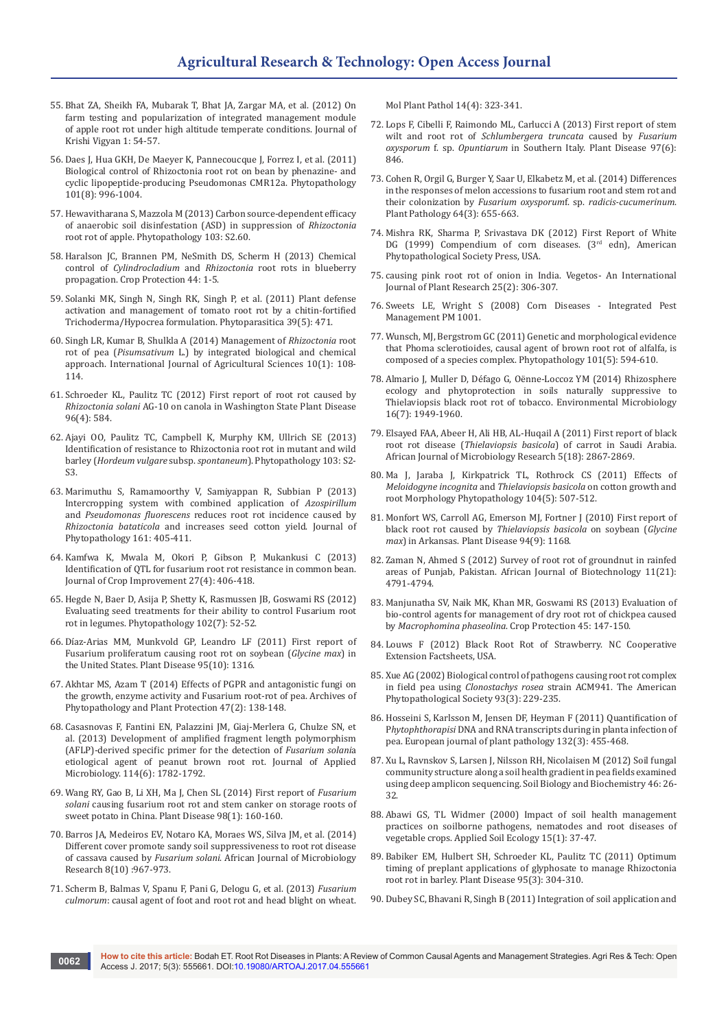- 55. [Bhat ZA, Sheikh FA, Mubarak T, Bhat JA, Zargar MA, et al. \(2012\) On](http://iskv.in/wp-content/themes/iskv/volume-pdfs/74f7db5e52344db2305c2513ca04496djkv-1-1-013.pdf)  [farm testing and popularization of integrated management module](http://iskv.in/wp-content/themes/iskv/volume-pdfs/74f7db5e52344db2305c2513ca04496djkv-1-1-013.pdf)  [of apple root rot under high altitude temperate conditions. Journal of](http://iskv.in/wp-content/themes/iskv/volume-pdfs/74f7db5e52344db2305c2513ca04496djkv-1-1-013.pdf)  [Krishi Vigyan 1: 54-57.](http://iskv.in/wp-content/themes/iskv/volume-pdfs/74f7db5e52344db2305c2513ca04496djkv-1-1-013.pdf)
- 56. [Daes J, Hua GKH, De Maeyer K, Pannecoucque J, Forrez I, et al. \(2011\)](https://www.ncbi.nlm.nih.gov/pubmed/21405991)  [Biological control of Rhizoctonia root rot on bean by phenazine- and](https://www.ncbi.nlm.nih.gov/pubmed/21405991)  [cyclic lipopeptide-producing Pseudomonas CMR12a. Phytopathology](https://www.ncbi.nlm.nih.gov/pubmed/21405991)  [101\(8\): 996-1004.](https://www.ncbi.nlm.nih.gov/pubmed/21405991)
- 57. [Hewavitharana S, Mazzola M \(2013\) Carbon source-dependent efficacy](https://www.ars.usda.gov/research/publications/publication/?seqNo115=291930)  [of anaerobic soil disinfestation \(ASD\) in suppression of](https://www.ars.usda.gov/research/publications/publication/?seqNo115=291930) *Rhizoctonia* [root rot of apple. Phytopathology 103: S2.60.](https://www.ars.usda.gov/research/publications/publication/?seqNo115=291930)
- 58. Haralson JC, Brannen PM, NeSmith DS, Scherm H (2013) Chemical control of *Cylindrocladium* and *Rhizoctonia* root rots in blueberry propagation. Crop Protection 44: 1-5.
- 59. Solanki MK, Singh N, Singh RK, Singh P, et al. (2011) Plant defense activation and management of tomato root rot by a chitin-fortified Trichoderma/Hypocrea formulation. Phytoparasitica 39(5): 471.
- 60. [Singh LR, Kumar B, Shulkla A \(2014\) Management of](http://www.researchjournal.co.in/online/IJAS/IJAS%2010(1)/10_108-114_A.pdf) *Rhizoctonia* root rot of pea (*Pisumsativum* [L.\) by integrated biological and chemical](http://www.researchjournal.co.in/online/IJAS/IJAS%2010(1)/10_108-114_A.pdf)  [approach. International Journal of Agricultural Sciences 10\(1\): 108-](http://www.researchjournal.co.in/online/IJAS/IJAS%2010(1)/10_108-114_A.pdf) [114.](http://www.researchjournal.co.in/online/IJAS/IJAS%2010(1)/10_108-114_A.pdf)
- 61. [Schroeder KL, Paulitz TC \(2012\) First report of root rot caused by](http://apsjournals.apsnet.org/doi/abs/10.1094/PDIS-09-11-0809-PDN)  *Rhizoctonia solani* [AG-10 on canola in Washington State Plant Disease](http://apsjournals.apsnet.org/doi/abs/10.1094/PDIS-09-11-0809-PDN)  [96\(4\): 584.](http://apsjournals.apsnet.org/doi/abs/10.1094/PDIS-09-11-0809-PDN)
- 62. [Ajayi OO, Paulitz TC, Campbell K, Murphy KM, Ullrich SE \(2013\)](https://www.ars.usda.gov/research/publications/publication/?seqNo115=297942)  [Identification of resistance to Rhizoctonia root rot in mutant and wild](https://www.ars.usda.gov/research/publications/publication/?seqNo115=297942)  barley (*Hordeum vulgare* subsp. *spontaneum*). Phytopathology 103: S2- [S3.](https://www.ars.usda.gov/research/publications/publication/?seqNo115=297942)
- 63. [Marimuthu S, Ramamoorthy V, Samiyappan R, Subbian P \(2013\)](http://onlinelibrary.wiley.com/doi/10.1111/jph.12084/abstract)  [Intercropping system with combined application of](http://onlinelibrary.wiley.com/doi/10.1111/jph.12084/abstract) *Azospirillum*  and *Pseudomonas fluorescens* [reduces root rot incidence caused by](http://onlinelibrary.wiley.com/doi/10.1111/jph.12084/abstract)  *Rhizoctonia bataticola* [and increases seed cotton yield. Journal of](http://onlinelibrary.wiley.com/doi/10.1111/jph.12084/abstract)  [Phytopathology 161: 405-411.](http://onlinelibrary.wiley.com/doi/10.1111/jph.12084/abstract)
- 64. [Kamfwa K, Mwala M, Okori P, Gibson P, Mukankusi C \(2013\)](http://www.tandfonline.com/doi/abs/10.1080/15427528.2013.786775?src=recsys&journalCode=wcim20)  [Identification of QTL for fusarium root rot resistance in common bean.](http://www.tandfonline.com/doi/abs/10.1080/15427528.2013.786775?src=recsys&journalCode=wcim20)  [Journal of Crop Improvement 27\(4\): 406-418.](http://www.tandfonline.com/doi/abs/10.1080/15427528.2013.786775?src=recsys&journalCode=wcim20)
- 65. Hegde N, Baer D, Asija P, Shetty K, Rasmussen JB, Goswami RS (2012) Evaluating seed treatments for their ability to control Fusarium root rot in legumes. Phytopathology 102(7): 52-52.
- 66. [Díaz-Arias MM, Munkvold GP, Leandro LF \(2011\) First report of](http://apsjournals.apsnet.org/doi/abs/10.1094/PDIS-04-11-0346)  [Fusarium proliferatum causing root rot on soybean \(](http://apsjournals.apsnet.org/doi/abs/10.1094/PDIS-04-11-0346)*Glycine max*) in [the United States. Plant Disease 95\(10\): 1316.](http://apsjournals.apsnet.org/doi/abs/10.1094/PDIS-04-11-0346)
- 67. [Akhtar MS, Azam T \(2014\) Effects of PGPR and antagonistic fungi on](http://www.tandfonline.com/doi/abs/10.1080/03235408.2013.805487)  [the growth, enzyme activity and Fusarium root-rot of pea. Archives of](http://www.tandfonline.com/doi/abs/10.1080/03235408.2013.805487)  [Phytopathology and Plant Protection 47\(2\): 138-148.](http://www.tandfonline.com/doi/abs/10.1080/03235408.2013.805487)
- 68. [Casasnovas F, Fantini EN, Palazzini JM, Giaj-Merlera G, Chulze SN, et](https://www.ncbi.nlm.nih.gov/pubmed/23472596)  [al. \(2013\) Development of amplified fragment length polymorphism](https://www.ncbi.nlm.nih.gov/pubmed/23472596)  [\(AFLP\)-derived specific primer for the detection of](https://www.ncbi.nlm.nih.gov/pubmed/23472596) *Fusarium solani*a [etiological agent of peanut brown root rot. Journal of Applied](https://www.ncbi.nlm.nih.gov/pubmed/23472596)  [Microbiology. 114\(6\): 1782-1792.](https://www.ncbi.nlm.nih.gov/pubmed/23472596)
- 69. Wang RY, Gao B, Li XH, Ma J, Chen SL (2014) First report of *Fusarium solani* causing fusarium root rot and stem canker on storage roots of sweet potato in China. Plant Disease 98(1): 160-160.
- 70. [Barros JA, Medeiros EV, Notaro KA, Moraes WS, Silva JM, et al. \(2014\)](http://www.academicjournals.org/journal/AJMR/article-abstract/1BA7BB444606)  [Different cover promote sandy soil suppressiveness to root rot disease](http://www.academicjournals.org/journal/AJMR/article-abstract/1BA7BB444606)  of cassava caused by *Fusarium solani*[. African Journal of Microbiology](http://www.academicjournals.org/journal/AJMR/article-abstract/1BA7BB444606)  [Research 8\(10\) :967-973.](http://www.academicjournals.org/journal/AJMR/article-abstract/1BA7BB444606)
- 71. [Scherm B, Balmas V, Spanu F, Pani G, Delogu G, et al. \(2013\)](https://www.ncbi.nlm.nih.gov/labs/articles/23279114/) *Fusarium culmorum*[: causal agent of foot and root rot and head blight on wheat.](https://www.ncbi.nlm.nih.gov/labs/articles/23279114/)

[Mol Plant Pathol 14\(4\): 323-341.](https://www.ncbi.nlm.nih.gov/labs/articles/23279114/)

- 72. [Lops F, Cibelli F, Raimondo ML, Carlucci A \(2013\) First report of stem](http://apsjournals.apsnet.org/doi/abs/10.1094/PDIS-11-12-1092-PDN)  wilt and root rot of *[Schlumbergera truncata](http://apsjournals.apsnet.org/doi/abs/10.1094/PDIS-11-12-1092-PDN)* caused by *Fusarium oxysporum* f. sp. *Opuntiarum* [in Southern Italy. Plant Disease 97\(6\):](http://apsjournals.apsnet.org/doi/abs/10.1094/PDIS-11-12-1092-PDN)  [846.](http://apsjournals.apsnet.org/doi/abs/10.1094/PDIS-11-12-1092-PDN)
- 73. [Cohen R, Orgil G, Burger Y, Saar U, Elkabetz M, et al. \(2014\) Differences](http://onlinelibrary.wiley.com/doi/10.1111/ppa.12286/abstract)  [in the responses of melon accessions to fusarium root and stem rot and](http://onlinelibrary.wiley.com/doi/10.1111/ppa.12286/abstract)  their colonization by *[Fusarium oxysporum](http://onlinelibrary.wiley.com/doi/10.1111/ppa.12286/abstract)*f. sp. *radicis‐cucumerinum*. [Plant Pathology 64\(3\): 655-663.](http://onlinelibrary.wiley.com/doi/10.1111/ppa.12286/abstract)
- 74. [Mishra RK, Sharma P, Srivastava DK \(2012\) First Report of White](https://www.cabdirect.org/cabdirect/abstract/20133137835)  DG (1999) Compendium of corn diseases. (3rd edn), American [Phytopathological Society Press, USA.](https://www.cabdirect.org/cabdirect/abstract/20133137835)
- 75. [causing pink root rot of onion in India. Vegetos- An International](https://www.cabdirect.org/cabdirect/abstract/20133137835)  [Journal of Plant Research 25\(2\): 306-307.](https://www.cabdirect.org/cabdirect/abstract/20133137835)
- 76. Sweets LE, Wright S (2008) Corn Diseases Integrated Pest Management PM 1001.
- 77. [Wunsch, MJ, Bergstrom GC \(2011\) Genetic and morphological evidence](https://www.ncbi.nlm.nih.gov/pubmed/20955081)  [that Phoma sclerotioides, causal agent of brown root rot of alfalfa, is](https://www.ncbi.nlm.nih.gov/pubmed/20955081)  [composed of a species complex. Phytopathology 101\(5\): 594-610.](https://www.ncbi.nlm.nih.gov/pubmed/20955081)
- 78. [Almario J, Muller D, Défago G, Oënne-Loccoz YM \(2014\) Rhizosphere](https://www.ncbi.nlm.nih.gov/pubmed/24650207)  [ecology and phytoprotection in soils naturally suppressive to](https://www.ncbi.nlm.nih.gov/pubmed/24650207)  [Thielaviopsis black root rot of tobacco. Environmental Microbiology](https://www.ncbi.nlm.nih.gov/pubmed/24650207)  [16\(7\): 1949-1960.](https://www.ncbi.nlm.nih.gov/pubmed/24650207)
- 79. [Elsayed FAA, Abeer H, Ali HB, AL-Huqail A \(2011\) First report of black](http://www.academicjournals.org/journal/AJMR/article-abstract/43EBBC913012)  root rot disease (*Thielaviopsis basicola*[\) of carrot in Saudi Arabia.](http://www.academicjournals.org/journal/AJMR/article-abstract/43EBBC913012)  [African Journal of Microbiology Research 5\(18\): 2867-2869.](http://www.academicjournals.org/journal/AJMR/article-abstract/43EBBC913012)
- 80. [Ma J, Jaraba J, Kirkpatrick TL, Rothrock CS \(2011\) Effects of](https://www.ncbi.nlm.nih.gov/labs/articles/24283540/)  *[Meloidogyne incognita](https://www.ncbi.nlm.nih.gov/labs/articles/24283540/)* and *Thielaviopsis basicola* on cotton growth and [root Morphology Phytopathology 104\(5\): 507-512.](https://www.ncbi.nlm.nih.gov/labs/articles/24283540/)
- 81. [Monfort WS, Carroll AG, Emerson MJ, Fortner J \(2010\) First report of](http://apsjournals.apsnet.org/doi/abs/10.1094/PDIS-94-9-1168A)  black root rot caused by *[Thielaviopsis basicola](http://apsjournals.apsnet.org/doi/abs/10.1094/PDIS-94-9-1168A)* on soybean (*Glycine max*[\) in Arkansas. Plant Disease 94\(9\): 1168.](http://apsjournals.apsnet.org/doi/abs/10.1094/PDIS-94-9-1168A)
- 82. [Zaman N, Ahmed S \(2012\) Survey of root rot of groundnut in rainfed](http://www.academicjournals.org/journal/AJB/article-abstract/B667ECC38877)  [areas of Punjab, Pakistan. African Journal of Biotechnology 11\(21\):](http://www.academicjournals.org/journal/AJB/article-abstract/B667ECC38877)  [4791-4794.](http://www.academicjournals.org/journal/AJB/article-abstract/B667ECC38877)
- 83. [Manjunatha SV, Naik MK, Khan MR, Goswami RS \(2013\) Evaluation of](http://eprints.icrisat.ac.in/11699/)  [bio-control agents for management of dry root rot of chickpea caused](http://eprints.icrisat.ac.in/11699/)  by *[Macrophomina phaseolina](http://eprints.icrisat.ac.in/11699/)*. Crop Protection 45: 147-150.
- 84. Louws F (2012) Black Root Rot of Strawberry. NC Cooperative Extension Factsheets, USA.
- 85. [Xue AG \(2002\) Biological control of pathogens causing root rot complex](https://www.ncbi.nlm.nih.gov/pubmed/18944343)  in field pea using *Clonostachys rosea* [strain ACM941. The American](https://www.ncbi.nlm.nih.gov/pubmed/18944343)  [Phytopathological Society 93\(3\): 229-235.](https://www.ncbi.nlm.nih.gov/pubmed/18944343)
- 86. Hosseini S, Karlsson M, Jensen DF, Heyman F (2011) Quantification of P*hytophthorapisi* DNA and RNA transcripts during in planta infection of pea. European journal of plant pathology 132(3): 455-468.
- 87. [Xu L, Ravnskov S, Larsen J, Nilsson RH, Nicolaisen M \(2012\) Soil fungal](http://www.sciencedirect.com/science/article/pii/S0038071711004020)  [community structure along a soil health gradient in pea fields examined](http://www.sciencedirect.com/science/article/pii/S0038071711004020)  [using deep amplicon sequencing. Soil Biology and Biochemistry 46: 26-](http://www.sciencedirect.com/science/article/pii/S0038071711004020) [32.](http://www.sciencedirect.com/science/article/pii/S0038071711004020)
- 88. [Abawi GS, TL Widmer \(2000\) Impact of soil health management](https://naldc.nal.usda.gov/download/934/PDF)  [practices on soilborne pathogens, nematodes and root diseases of](https://naldc.nal.usda.gov/download/934/PDF)  [vegetable crops. Applied Soil Ecology 15\(1\): 37-47.](https://naldc.nal.usda.gov/download/934/PDF)
- 89. [Babiker EM, Hulbert SH, Schroeder KL, Paulitz TC \(2011\) Optimum](http://apsjournals.apsnet.org/doi/abs/10.1094/PDIS-05-10-0354)  [timing of preplant applications of glyphosate to manage Rhizoctonia](http://apsjournals.apsnet.org/doi/abs/10.1094/PDIS-05-10-0354)  [root rot in barley. Plant Disease 95\(3\): 304-310.](http://apsjournals.apsnet.org/doi/abs/10.1094/PDIS-05-10-0354)
- 90. [Dubey SC, Bhavani R, Singh B \(2011\) Integration of soil application and](http://onlinelibrary.wiley.com/doi/10.1002/ps.2168/abstract)